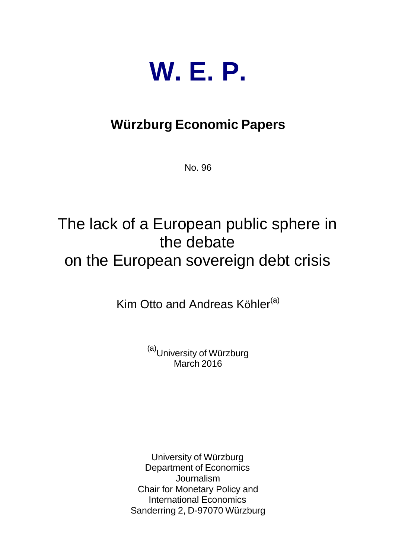# **W. E. P.**

## **Würzburg Economic Papers**

No. 96

# The lack of a European public sphere in the debate on the European sovereign debt crisis

Kim Otto and Andreas Köhler<sup>(a)</sup>

(a)<br>University of Würzburg March 2016

University of Würzburg Department of Economics **Journalism** Chair for Monetary Policy and International Economics Sanderring 2, D-97070 Würzburg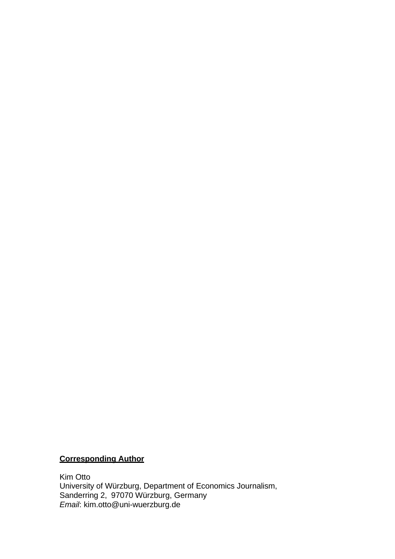### **Corresponding Author**

Kim Otto University of Würzburg, Department of Economics Journalism, Sanderring 2, 97070 Würzburg, Germany *Email*: kim.otto@uni-wuerzburg.de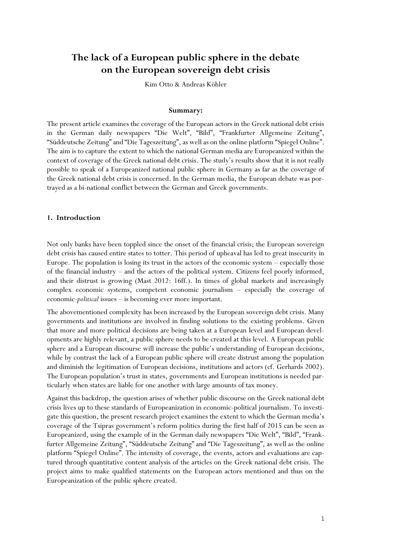### **The lack of a European public sphere in the debate on the European sovereign debt crisis**

Kim Otto & Andreas Köhler

#### **Summary:**

The present article examines the coverage of the European actors in the Greek national debt crisis in the German daily newspapers "Die Welt", "Bild", "Frankfurter Allgemeine Zeitung", "Süddeutsche Zeitung" and "Die Tageszeitung", as well as on the online platform "Spiegel Online". The aim is to capture the extent to which the national German media are Europeanized within the context of coverage of the Greek national debt crisis. The study's results show that it is not really possible to speak of a Europeanized national public sphere in Germany as far as the coverage of the Greek national debt crisis is concerned. In the German media, the European debate was portrayed as a bi-national conflict between the German and Greek governments.

#### **1. Introduction**

Not only banks have been toppled since the onset of the financial crisis; the European sovereign debt crisis has caused entire states to totter. This period of upheaval has led to great insecurity in Europe. The population is losing its trust in the actors of the economic system – especially those of the financial industry – and the actors of the political system. Citizens feel poorly informed, and their distrust is growing (Mast 2012: 16ff.). In times of global markets and increasingly complex economic systems, competent economic journalism – especially the coverage of economic-*political* issues – is becoming ever more important.

The abovementioned complexity has been increased by the European sovereign debt crisis. Many governments and institutions are involved in finding solutions to the existing problems. Given that more and more political decisions are being taken at a European level and European developments are highly relevant, a public sphere needs to be created at this level. A European public sphere and a European discourse will increase the public's understanding of European decisions, while by contrast the lack of a European public sphere will create distrust among the population and diminish the legitimation of European decisions, institutions and actors (cf. Gerhards 2002). The European population's trust in states, governments and European institutions is needed particularly when states are liable for one another with large amounts of tax money.

Against this backdrop, the question arises of whether public discourse on the Greek national debt crisis lives up to these standards of Europeanization in economic-political journalism. To investigate this question, the present research project examines the extent to which the German media's coverage of the Tsipras government's reform politics during the first half of 2015 can be seen as Europeanized, using the example of in the German daily newspapers "Die Welt", "Bild", "Frankfurter Allgemeine Zeitung", "Süddeutsche Zeitung" and "Die Tageszeitung", as well as the online platform "Spiegel Online". The intensity of coverage, the events, actors and evaluations are captured through quantitative content analysis of the articles on the Greek national debt crisis. The project aims to make qualified statements on the European actors mentioned and thus on the Europeanization of the public sphere created.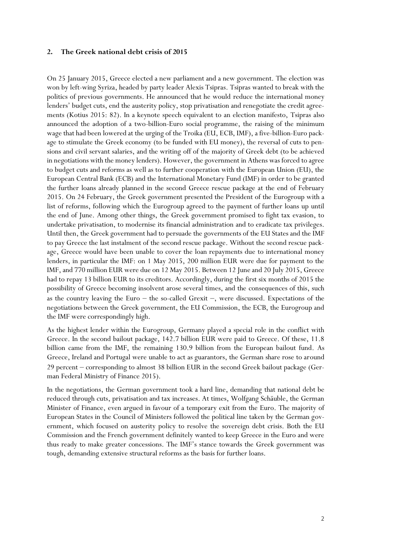#### **2. The Greek national debt crisis of 2015**

On 25 January 2015, Greece elected a new parliament and a new government. The election was won by left-wing Syriza, headed by party leader Alexis Tsipras. Tsipras wanted to break with the politics of previous governments. He announced that he would reduce the international money lenders' budget cuts, end the austerity policy, stop privatisation and renegotiate the credit agreements (Kotius 2015: 82). In a keynote speech equivalent to an election manifesto, Tsipras also announced the adoption of a two-billion-Euro social programme, the raising of the minimum wage that had been lowered at the urging of the Troika (EU, ECB, IMF), a five-billion-Euro package to stimulate the Greek economy (to be funded with EU money), the reversal of cuts to pensions and civil servant salaries, and the writing off of the majority of Greek debt (to be achieved in negotiations with the money lenders). However, the government in Athens was forced to agree to budget cuts and reforms as well as to further cooperation with the European Union (EU), the European Central Bank (ECB) and the International Monetary Fund (IMF) in order to be granted the further loans already planned in the second Greece rescue package at the end of February 2015. On 24 February, the Greek government presented the President of the Eurogroup with a list of reforms, following which the Eurogroup agreed to the payment of further loans up until the end of June. Among other things, the Greek government promised to fight tax evasion, to undertake privatisation, to modernise its financial administration and to eradicate tax privileges. Until then, the Greek government had to persuade the governments of the EU States and the IMF to pay Greece the last instalment of the second rescue package. Without the second rescue package, Greece would have been unable to cover the loan repayments due to international money lenders, in particular the IMF: on 1 May 2015, 200 million EUR were due for payment to the IMF, and 770 million EUR were due on 12 May 2015. Between 12 June and 20 July 2015, Greece had to repay 13 billion EUR to its creditors. Accordingly, during the first six months of 2015 the possibility of Greece becoming insolvent arose several times, and the consequences of this, such as the country leaving the Euro  $-$  the so-called Grexit  $-$ , were discussed. Expectations of the negotiations between the Greek government, the EU Commission, the ECB, the Eurogroup and the IMF were correspondingly high.

As the highest lender within the Eurogroup, Germany played a special role in the conflict with Greece. In the second bailout package, 142.7 billion EUR were paid to Greece. Of these, 11.8 billion came from the IMF, the remaining 130.9 billion from the European bailout fund. As Greece, Ireland and Portugal were unable to act as guarantors, the German share rose to around 29 percent – corresponding to almost 38 billion EUR in the second Greek bailout package (German Federal Ministry of Finance 2015).

In the negotiations, the German government took a hard line, demanding that national debt be reduced through cuts, privatisation and tax increases. At times, Wolfgang Schäuble, the German Minister of Finance, even argued in favour of a temporary exit from the Euro. The majority of European States in the Council of Ministers followed the political line taken by the German government, which focused on austerity policy to resolve the sovereign debt crisis. Both the EU Commission and the French government definitely wanted to keep Greece in the Euro and were thus ready to make greater concessions. The IMF's stance towards the Greek government was tough, demanding extensive structural reforms as the basis for further loans.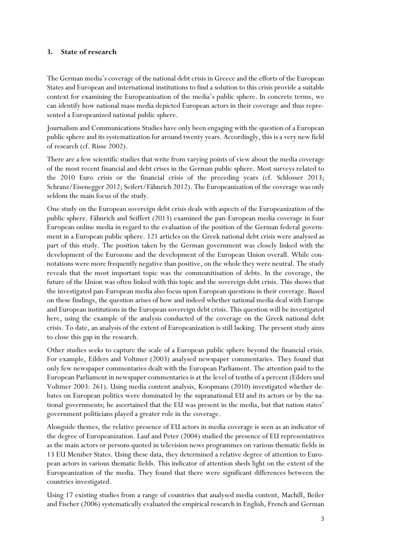#### **3. State of research**

The German media's coverage of the national debt crisis in Greece and the efforts of the European States and European and international institutions to find a solution to this crisis provide a suitable context for examining the Europeanization of the media's public sphere. In concrete terms, we can identify how national mass media depicted European actors in their coverage and thus represented a Europeanized national public sphere.

Journalism and Communications Studies have only been engaging with the question of a European public sphere and its systematization for around twenty years. Accordingly, this is a very new field of research (cf. Risse 2002).

There are a few scientific studies that write from varying points of view about the media coverage of the most recent financial and debt crises in the German public sphere. Most surveys related to the 2010 Euro crisis or the financial crisis of the preceding years (cf. Schlosser 2013; Schranz/Eisenegger 2012; Seifert/Fähnrich 2012). The Europeanization of the coverage was only seldom the main focus of the study.

One study on the European sovereign debt crisis deals with aspects of the Europeanization of the public sphere. Fähnrich and Seiffert (2013) examined the pan-European media coverage in four European online media in regard to the evaluation of the position of the German federal government in a European public sphere. 121 articles on the Greek national debt crisis were analysed as part of this study. The position taken by the German government was closely linked with the development of the Eurozone and the development of the European Union overall. While connotations were more frequently negative than positive, on the whole they were neutral. The study reveals that the most important topic was the communitisation of debts. In the coverage, the future of the Union was often linked with this topic and the sovereign debt crisis. This shows that the investigated pan-European media also focus upon European questions in their coverage. Based on these findings, the question arises of how and indeed whether national media deal with Europe and European institutions in the European sovereign debt crisis. This question will be investigated here, using the example of the analysis conducted of the coverage on the Greek national debt crisis. To date, an analysis of the extent of Europeanization is still lacking. The present study aims to close this gap in the research.

Other studies seeks to capture the scale of a European public sphere beyond the financial crisis. For example, Eilders and Voltmer (2003) analysed newspaper commentaries. They found that only few newspaper commentaries dealt with the European Parliament. The attention paid to the European Parliament in newspaper commentaries is at the level of tenths of a percent (Eilders und Voltmer 2003: 261). Using media content analysis, Koopmans (2010) investigated whether debates on European politics were dominated by the supranational EU and its actors or by the national governments; he ascertained that the EU was present in the media, but that nation states' government politicians played a greater role in the coverage.

Alongside themes, the relative presence of EU actors in media coverage is seen as an indicator of the degree of Europeanization. Lauf and Peter (2004) studied the presence of EU representatives as the main actors or persons quoted in television news programmes on various thematic fields in 13 EU Member States. Using these data, they determined a relative degree of attention to European actors in various thematic fields. This indicator of attention sheds light on the extent of the Europeanization of the media. They found that there were significant differences between the countries investigated.

Using 17 existing studies from a range of countries that analysed media content, Machill, Beiler and Fischer (2006) systematically evaluated the empirical research in English, French and German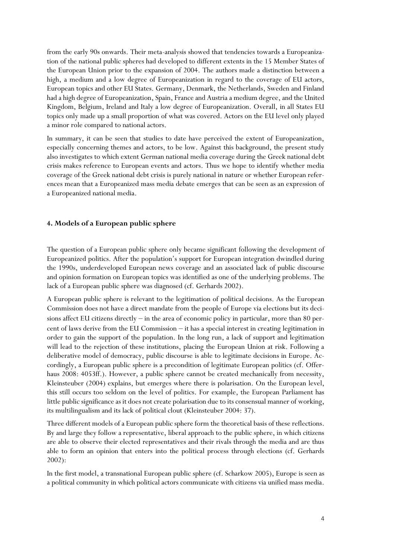from the early 90s onwards. Their meta-analysis showed that tendencies towards a Europeanization of the national public spheres had developed to different extents in the 15 Member States of the European Union prior to the expansion of 2004. The authors made a distinction between a high, a medium and a low degree of Europeanization in regard to the coverage of EU actors, European topics and other EU States. Germany, Denmark, the Netherlands, Sweden and Finland had a high degree of Europeanization, Spain, France and Austria a medium degree, and the United Kingdom, Belgium, Ireland and Italy a low degree of Europeanization. Overall, in all States EU topics only made up a small proportion of what was covered. Actors on the EU level only played a minor role compared to national actors.

In summary, it can be seen that studies to date have perceived the extent of Europeanization, especially concerning themes and actors, to be low. Against this background, the present study also investigates to which extent German national media coverage during the Greek national debt crisis makes reference to European events and actors. Thus we hope to identify whether media coverage of the Greek national debt crisis is purely national in nature or whether European references mean that a Europeanized mass media debate emerges that can be seen as an expression of a Europeanized national media.

#### **4. Models of a European public sphere**

The question of a European public sphere only became significant following the development of Europeanized politics. After the population's support for European integration dwindled during the 1990s, underdeveloped European news coverage and an associated lack of public discourse and opinion formation on European topics was identified as one of the underlying problems. The lack of a European public sphere was diagnosed (cf. Gerhards 2002).

A European public sphere is relevant to the legitimation of political decisions. As the European Commission does not have a direct mandate from the people of Europe via elections but its decisions affect EU citizens directly  $-$  in the area of economic policy in particular, more than 80 percent of laws derive from the EU Commission – it has a special interest in creating legitimation in order to gain the support of the population. In the long run, a lack of support and legitimation will lead to the rejection of these institutions, placing the European Union at risk. Following a deliberative model of democracy, public discourse is able to legitimate decisions in Europe. Accordingly, a European public sphere is a precondition of legitimate European politics (cf. Offerhaus 2008: 4053ff.). However, a public sphere cannot be created mechanically from necessity, Kleinsteuber (2004) explains, but emerges where there is polarisation. On the European level, this still occurs too seldom on the level of politics. For example, the European Parliament has little public significance as it does not create polarisation due to its consensual manner of working, its multilingualism and its lack of political clout (Kleinsteuber 2004: 37).

Three different models of a European public sphere form the theoretical basis of these reflections. By and large they follow a representative, liberal approach to the public sphere, in which citizens are able to observe their elected representatives and their rivals through the media and are thus able to form an opinion that enters into the political process through elections (cf. Gerhards 2002):

In the first model, a transnational European public sphere (cf. Scharkow 2005), Europe is seen as a political community in which political actors communicate with citizens via unified mass media.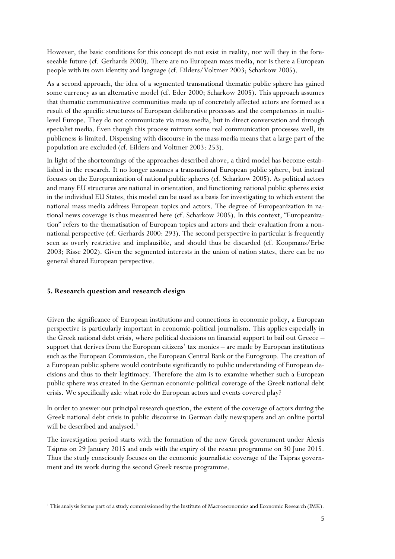However, the basic conditions for this concept do not exist in reality, nor will they in the foreseeable future (cf. Gerhards 2000). There are no European mass media, nor is there a European people with its own identity and language (cf. Eilders/Voltmer 2003; Scharkow 2005).

As a second approach, the idea of a segmented transnational thematic public sphere has gained some currency as an alternative model (cf. Eder 2000; Scharkow 2005). This approach assumes that thematic communicative communities made up of concretely affected actors are formed as a result of the specific structures of European deliberative processes and the competences in multilevel Europe. They do not communicate via mass media, but in direct conversation and through specialist media. Even though this process mirrors some real communication processes well, its publicness is limited. Dispensing with discourse in the mass media means that a large part of the population are excluded (cf. Eilders and Voltmer 2003: 253).

In light of the shortcomings of the approaches described above, a third model has become established in the research. It no longer assumes a transnational European public sphere, but instead focuses on the Europeanization of national public spheres (cf. Scharkow 2005). As political actors and many EU structures are national in orientation, and functioning national public spheres exist in the individual EU States, this model can be used as a basis for investigating to which extent the national mass media address European topics and actors. The degree of Europeanization in national news coverage is thus measured here (cf. Scharkow 2005). In this context, "Europeanization" refers to the thematisation of European topics and actors and their evaluation from a nonnational perspective (cf. Gerhards 2000: 293). The second perspective in particular is frequently seen as overly restrictive and implausible, and should thus be discarded (cf. Koopmans/Erbe 2003; Risse 2002). Given the segmented interests in the union of nation states, there can be no general shared European perspective.

#### **5. Research question and research design**

-

Given the significance of European institutions and connections in economic policy, a European perspective is particularly important in economic-political journalism. This applies especially in the Greek national debt crisis, where political decisions on financial support to bail out Greece – support that derives from the European citizens' tax monies – are made by European institutions such as the European Commission, the European Central Bank or the Eurogroup. The creation of a European public sphere would contribute significantly to public understanding of European decisions and thus to their legitimacy. Therefore the aim is to examine whether such a European public sphere was created in the German economic-political coverage of the Greek national debt crisis. We specifically ask: what role do European actors and events covered play?

In order to answer our principal research question, the extent of the coverage of actors during the Greek national debt crisis in public discourse in German daily newspapers and an online portal will be described and analysed.<sup>1</sup>

The investigation period starts with the formation of the new Greek government under Alexis Tsipras on 29 January 2015 and ends with the expiry of the rescue programme on 30 June 2015. Thus the study consciously focuses on the economic journalistic coverage of the Tsipras government and its work during the second Greek rescue programme.

<sup>1</sup> This analysis forms part of a study commissioned by the Institute of Macroeconomics and Economic Research (IMK).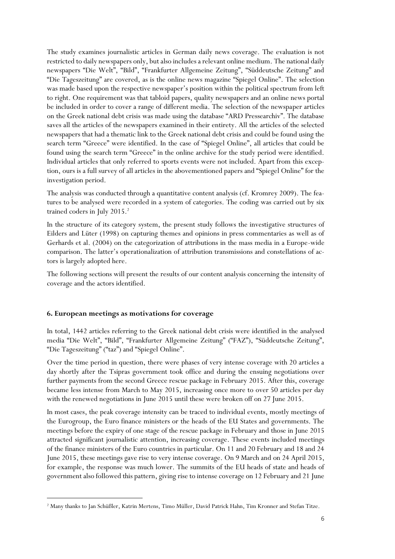The study examines journalistic articles in German daily news coverage. The evaluation is not restricted to daily newspapers only, but also includes a relevant online medium. The national daily newspapers "Die Welt", "Bild", "Frankfurter Allgemeine Zeitung", "Süddeutsche Zeitung" and "Die Tageszeitung" are covered, as is the online news magazine "Spiegel Online". The selection was made based upon the respective newspaper's position within the political spectrum from left to right. One requirement was that tabloid papers, quality newspapers and an online news portal be included in order to cover a range of different media. The selection of the newspaper articles on the Greek national debt crisis was made using the database "ARD Pressearchiv". The database saves all the articles of the newspapers examined in their entirety. All the articles of the selected newspapers that had a thematic link to the Greek national debt crisis and could be found using the search term "Greece" were identified. In the case of "Spiegel Online", all articles that could be found using the search term "Greece" in the online archive for the study period were identified. Individual articles that only referred to sports events were not included. Apart from this exception, ours is a full survey of all articles in the abovementioned papers and "Spiegel Online" for the investigation period.

The analysis was conducted through a quantitative content analysis (cf. Kromrey 2009). The features to be analysed were recorded in a system of categories. The coding was carried out by six trained coders in July 2015.<sup>2</sup>

In the structure of its category system, the present study follows the investigative structures of Eilders and Lüter (1998) on capturing themes and opinions in press commentaries as well as of Gerhards et al. (2004) on the categorization of attributions in the mass media in a Europe-wide comparison. The latter's operationalization of attribution transmissions and constellations of actors is largely adopted here.

The following sections will present the results of our content analysis concerning the intensity of coverage and the actors identified.

#### **6. European meetings as motivations for coverage**

-

In total, 1442 articles referring to the Greek national debt crisis were identified in the analysed media "Die Welt", "Bild", "Frankfurter Allgemeine Zeitung" ("FAZ"), "Süddeutsche Zeitung", "Die Tageszeitung" ("taz") and "Spiegel Online".

Over the time period in question, there were phases of very intense coverage with 20 articles a day shortly after the Tsipras government took office and during the ensuing negotiations over further payments from the second Greece rescue package in February 2015. After this, coverage became less intense from March to May 2015, increasing once more to over 50 articles per day with the renewed negotiations in June 2015 until these were broken off on 27 June 2015.

In most cases, the peak coverage intensity can be traced to individual events, mostly meetings of the Eurogroup, the Euro finance ministers or the heads of the EU States and governments. The meetings before the expiry of one stage of the rescue package in February and those in June 2015 attracted significant journalistic attention, increasing coverage. These events included meetings of the finance ministers of the Euro countries in particular. On 11 and 20 February and 18 and 24 June 2015, these meetings gave rise to very intense coverage. On 9 March and on 24 April 2015, for example, the response was much lower. The summits of the EU heads of state and heads of government also followed this pattern, giving rise to intense coverage on 12 February and 21 June

<sup>2</sup> Many thanks to Jan Schüßler, Katrin Mertens, Timo Müller, David Patrick Hahn, Tim Kronner and Stefan Titze.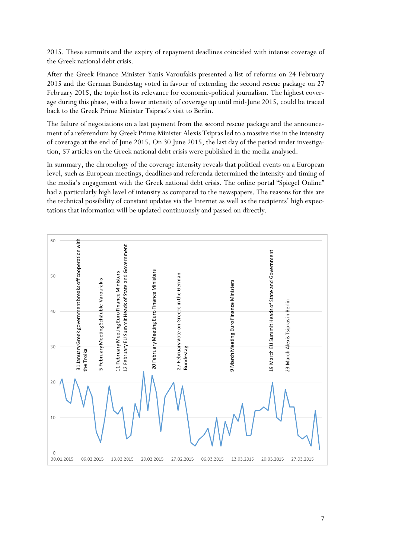2015. These summits and the expiry of repayment deadlines coincided with intense coverage of the Greek national debt crisis.

After the Greek Finance Minister Yanis Varoufakis presented a list of reforms on 24 February 2015 and the German Bundestag voted in favour of extending the second rescue package on 27 February 2015, the topic lost its relevance for economic-political journalism. The highest coverage during this phase, with a lower intensity of coverage up until mid-June 2015, could be traced back to the Greek Prime Minister Tsipras's visit to Berlin.

The failure of negotiations on a last payment from the second rescue package and the announcement of a referendum by Greek Prime Minister Alexis Tsipras led to a massive rise in the intensity of coverage at the end of June 2015. On 30 June 2015, the last day of the period under investigation, 57 articles on the Greek national debt crisis were published in the media analysed.

In summary, the chronology of the coverage intensity reveals that political events on a European level, such as European meetings, deadlines and referenda determined the intensity and timing of the media's engagement with the Greek national debt crisis. The online portal "Spiegel Online" had a particularly high level of intensity as compared to the newspapers. The reasons for this are the technical possibility of constant updates via the Internet as well as the recipients' high expectations that information will be updated continuously and passed on directly.

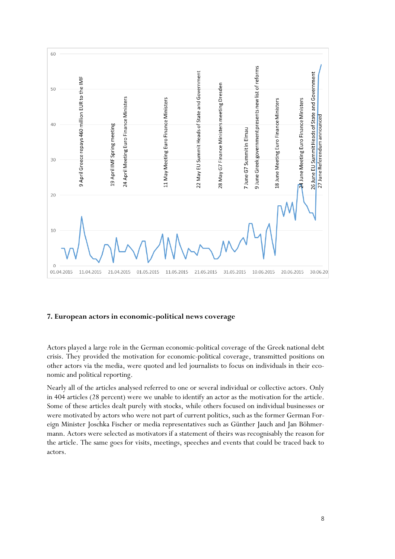

#### **7. European actors in economic-political news coverage**

Actors played a large role in the German economic-political coverage of the Greek national debt crisis. They provided the motivation for economic-political coverage, transmitted positions on other actors via the media, were quoted and led journalists to focus on individuals in their economic and political reporting.

Nearly all of the articles analysed referred to one or several individual or collective actors. Only in 404 articles (28 percent) were we unable to identify an actor as the motivation for the article. Some of these articles dealt purely with stocks, while others focused on individual businesses or were motivated by actors who were not part of current politics, such as the former German Foreign Minister Joschka Fischer or media representatives such as Günther Jauch and Jan Böhmermann. Actors were selected as motivators if a statement of theirs was recognisably the reason for the article. The same goes for visits, meetings, speeches and events that could be traced back to actors.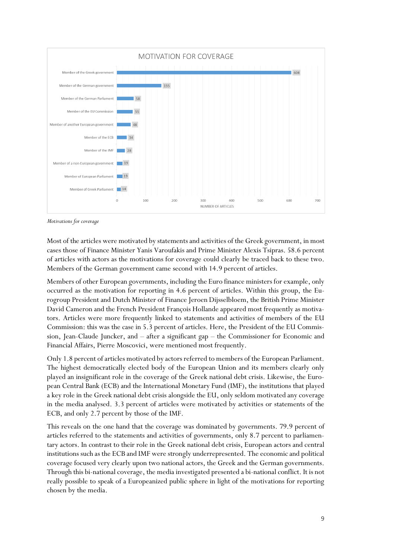

*Motivations for coverage*

Most of the articles were motivated by statements and activities of the Greek government, in most cases those of Finance Minister Yanis Varoufakis and Prime Minister Alexis Tsipras. 58.6 percent of articles with actors as the motivations for coverage could clearly be traced back to these two. Members of the German government came second with 14.9 percent of articles.

Members of other European governments, including the Euro finance ministers for example, only occurred as the motivation for reporting in 4.6 percent of articles. Within this group, the Eurogroup President and Dutch Minister of Finance Jeroen Dijsselbloem, the British Prime Minister David Cameron and the French President François Hollande appeared most frequently as motivators. Articles were more frequently linked to statements and activities of members of the EU Commission: this was the case in 5.3 percent of articles. Here, the President of the EU Commission, Jean-Claude Juncker, and – after a significant gap – the Commissioner for Economic and Financial Affairs, Pierre Moscovici, were mentioned most frequently.

Only 1.8 percent of articles motivated by actors referred to members of the European Parliament. The highest democratically elected body of the European Union and its members clearly only played an insignificant role in the coverage of the Greek national debt crisis. Likewise, the European Central Bank (ECB) and the International Monetary Fund (IMF), the institutions that played a key role in the Greek national debt crisis alongside the EU, only seldom motivated any coverage in the media analysed. 3.3 percent of articles were motivated by activities or statements of the ECB, and only 2.7 percent by those of the IMF.

This reveals on the one hand that the coverage was dominated by governments. 79.9 percent of articles referred to the statements and activities of governments, only 8.7 percent to parliamentary actors. In contrast to their role in the Greek national debt crisis, European actors and central institutions such as the ECB and IMF were strongly underrepresented. The economic and political coverage focused very clearly upon two national actors, the Greek and the German governments. Through this bi-national coverage, the media investigated presented a bi-national conflict. It is not really possible to speak of a Europeanized public sphere in light of the motivations for reporting chosen by the media.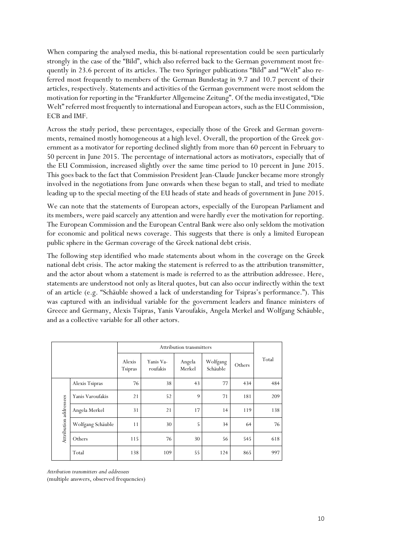When comparing the analysed media, this bi-national representation could be seen particularly strongly in the case of the "Bild", which also referred back to the German government most frequently in 23.6 percent of its articles. The two Springer publications "Bild" and "Welt" also referred most frequently to members of the German Bundestag in 9.7 and 10.7 percent of their articles, respectively. Statements and activities of the German government were most seldom the motivation for reporting in the "Frankfurter Allgemeine Zeitung". Of the media investigated, "Die Welt" referred most frequently to international and European actors, such as the EU Commission, ECB and IMF.

Across the study period, these percentages, especially those of the Greek and German governments, remained mostly homogeneous at a high level. Overall, the proportion of the Greek government as a motivator for reporting declined slightly from more than 60 percent in February to 50 percent in June 2015. The percentage of international actors as motivators, especially that of the EU Commission, increased slightly over the same time period to 10 percent in June 2015. This goes back to the fact that Commission President Jean-Claude Juncker became more strongly involved in the negotiations from June onwards when these began to stall, and tried to mediate leading up to the special meeting of the EU heads of state and heads of government in June 2015.

We can note that the statements of European actors, especially of the European Parliament and its members, were paid scarcely any attention and were hardly ever the motivation for reporting. The European Commission and the European Central Bank were also only seldom the motivation for economic and political news coverage. This suggests that there is only a limited European public sphere in the German coverage of the Greek national debt crisis.

The following step identified who made statements about whom in the coverage on the Greek national debt crisis. The actor making the statement is referred to as the attribution transmitter, and the actor about whom a statement is made is referred to as the attribution addressee. Here, statements are understood not only as literal quotes, but can also occur indirectly within the text of an article (e.g. "Schäuble showed a lack of understanding for Tsipras's performance."). This was captured with an individual variable for the government leaders and finance ministers of Greece and Germany, Alexis Tsipras, Yanis Varoufakis, Angela Merkel and Wolfgang Schäuble, and as a collective variable for all other actors.

|                        |                   | Attribution transmitters |                       |                  |                      |        |       |
|------------------------|-------------------|--------------------------|-----------------------|------------------|----------------------|--------|-------|
|                        |                   | Alexis<br><b>Tsipras</b> | Yanis Va-<br>roufakis | Angela<br>Merkel | Wolfgang<br>Schäuble | Others | Total |
| Attribution addressees | Alexis Tsipras    | 76                       | 38                    | 43               | 77                   | 434    | 484   |
|                        | Yanis Varoufakis  | 21                       | 52                    | 9                | 71                   | 181    | 209   |
|                        | Angela Merkel     | 31                       | 21                    | 17               | 14                   | 119    | 138   |
|                        | Wolfgang Schäuble | 11                       | 30                    | 5                | 34                   | 64     | 76    |
|                        | Others            | 115                      | 76                    | 30               | 56                   | 545    | 618   |
|                        | Total             | 138                      | 109                   | 55               | 124                  | 865    | 997   |

*Attribution transmitters and addressees*

(multiple answers, observed frequencies)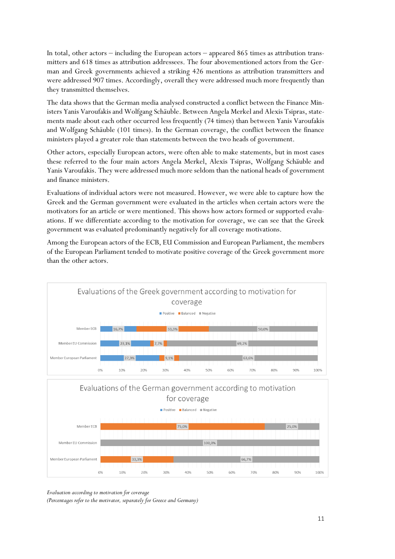In total, other actors — including the European actors — appeared 865 times as attribution transmitters and 618 times as attribution addressees. The four abovementioned actors from the German and Greek governments achieved a striking 426 mentions as attribution transmitters and were addressed 907 times. Accordingly, overall they were addressed much more frequently than they transmitted themselves.

The data shows that the German media analysed constructed a conflict between the Finance Ministers Yanis Varoufakis and Wolfgang Schäuble. Between Angela Merkel and Alexis Tsipras, statements made about each other occurred less frequently (74 times) than between Yanis Varoufakis and Wolfgang Schäuble (101 times). In the German coverage, the conflict between the finance ministers played a greater role than statements between the two heads of government.

Other actors, especially European actors, were often able to make statements, but in most cases these referred to the four main actors Angela Merkel, Alexis Tsipras, Wolfgang Schäuble and Yanis Varoufakis. They were addressed much more seldom than the national heads of government and finance ministers.

Evaluations of individual actors were not measured. However, we were able to capture how the Greek and the German government were evaluated in the articles when certain actors were the motivators for an article or were mentioned. This shows how actors formed or supported evaluations. If we differentiate according to the motivation for coverage, we can see that the Greek government was evaluated predominantly negatively for all coverage motivations.

Among the European actors of the ECB, EU Commission and European Parliament, the members of the European Parliament tended to motivate positive coverage of the Greek government more than the other actors.



40%

50%

 $60%$ 

70%

80%

90%

*Evaluation according to motivation for coverage*

*(Percentages refer to the motivator, separately for Greece and Germany)*

20%

30%

100%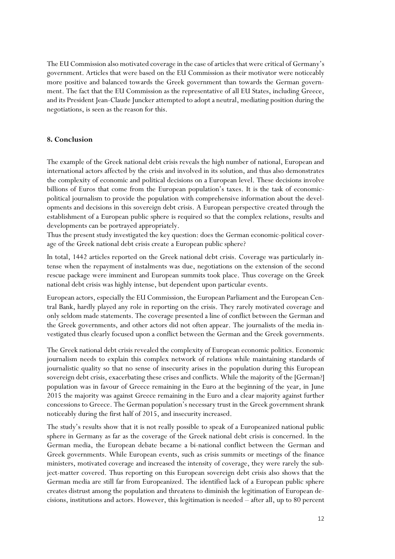The EU Commission also motivated coverage in the case of articles that were critical of Germany's government. Articles that were based on the EU Commission as their motivator were noticeably more positive and balanced towards the Greek government than towards the German government. The fact that the EU Commission as the representative of all EU States, including Greece, and its President Jean-Claude Juncker attempted to adopt a neutral, mediating position during the negotiations, is seen as the reason for this.

#### **8. Conclusion**

The example of the Greek national debt crisis reveals the high number of national, European and international actors affected by the crisis and involved in its solution, and thus also demonstrates the complexity of economic and political decisions on a European level. These decisions involve billions of Euros that come from the European population's taxes. It is the task of economicpolitical journalism to provide the population with comprehensive information about the developments and decisions in this sovereign debt crisis. A European perspective created through the establishment of a European public sphere is required so that the complex relations, results and developments can be portrayed appropriately.

Thus the present study investigated the key question: does the German economic-political coverage of the Greek national debt crisis create a European public sphere?

In total, 1442 articles reported on the Greek national debt crisis. Coverage was particularly intense when the repayment of instalments was due, negotiations on the extension of the second rescue package were imminent and European summits took place. Thus coverage on the Greek national debt crisis was highly intense, but dependent upon particular events.

European actors, especially the EU Commission, the European Parliament and the European Central Bank, hardly played any role in reporting on the crisis. They rarely motivated coverage and only seldom made statements. The coverage presented a line of conflict between the German and the Greek governments, and other actors did not often appear. The journalists of the media investigated thus clearly focused upon a conflict between the German and the Greek governments.

The Greek national debt crisis revealed the complexity of European economic politics. Economic journalism needs to explain this complex network of relations while maintaining standards of journalistic quality so that no sense of insecurity arises in the population during this European sovereign debt crisis, exacerbating these crises and conflicts. While the majority of the [German?] population was in favour of Greece remaining in the Euro at the beginning of the year, in June 2015 the majority was against Greece remaining in the Euro and a clear majority against further concessions to Greece. The German population's necessary trust in the Greek government shrank noticeably during the first half of 2015, and insecurity increased.

The study's results show that it is not really possible to speak of a Europeanized national public sphere in Germany as far as the coverage of the Greek national debt crisis is concerned. In the German media, the European debate became a bi-national conflict between the German and Greek governments. While European events, such as crisis summits or meetings of the finance ministers, motivated coverage and increased the intensity of coverage, they were rarely the subject-matter covered. Thus reporting on this European sovereign debt crisis also shows that the German media are still far from Europeanized. The identified lack of a European public sphere creates distrust among the population and threatens to diminish the legitimation of European decisions, institutions and actors. However, this legitimation is needed – after all, up to 80 percent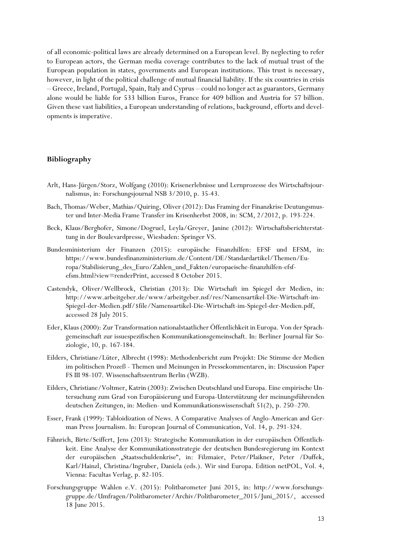of all economic-political laws are already determined on a European level. By neglecting to refer to European actors, the German media coverage contributes to the lack of mutual trust of the European population in states, governments and European institutions. This trust is necessary, however, in light of the political challenge of mutual financial liability. If the six countries in crisis – Greece, Ireland, Portugal, Spain, Italy and Cyprus – could no longer act as guarantors, Germany alone would be liable for 533 billion Euros, France for 409 billion and Austria for 57 billion. Given these vast liabilities, a European understanding of relations, background, efforts and developments is imperative.

#### **Bibliography**

- Arlt, Hans-Jürgen/Storz, Wolfgang (2010): Krisenerlebnisse und Lernprozesse des Wirtschaftsjournalismus, in: Forschungsjournal NSB 3/2010, p. 35-43.
- Bach, Thomas/Weber, Mathias/Quiring, Oliver (2012): Das Framing der Finanzkrise Deutungsmuster und Inter-Media Frame Transfer im Krisenherbst 2008, in: SCM, 2/2012, p. 193-224.
- Beck, Klaus/Berghofer, Simone/Dogruel, Leyla/Greyer, Janine (2012): Wirtschaftsberichterstattung in der Boulevardpresse, Wiesbaden: Springer VS.
- Bundesministerium der Finanzen (2015): europäische Finanzhilfen: EFSF und EFSM, in: https://www.bundesfinanzministerium.de/Content/DE/Standardartikel/Themen/Europa/Stabilisierung\_des\_Euro/Zahlen\_und\_Fakten/europaeische-finanzhilfen-efsfefsm.html?view=renderPrint, accessed 8 October 2015.
- Castendyk, Oliver/Wellbrock, Christian (2013): Die Wirtschaft im Spiegel der Medien, in: http://www.arbeitgeber.de/www/arbeitgeber.nsf/res/Namensartikel-Die-Wirtschaft-im-Spiegel-der-Medien.pdf/\$file/Namensartikel-Die-Wirtschaft-im-Spiegel-der-Medien.pdf, accessed 28 July 2015.
- Eder, Klaus (2000): Zur Transformation nationalstaatlicher Öffentlichkeit in Europa. Von der Sprachgemeinschaft zur issuespezifischen Kommunikationsgemeinschaft. In: Berliner Journal für Soziologie, 10, p. 167-184.
- Eilders, Christiane/Lüter, Albrecht (1998): Methodenbericht zum Projekt: Die Stimme der Medien im politischen Prozeß - Themen und Meinungen in Pressekommentaren, in: Discussion Paper FS III 98-107. Wissenschaftszentrum Berlin (WZB).
- Eilders, Christiane/Voltmer, Katrin (2003): Zwischen Deutschland und Europa. Eine empirische Untersuchung zum Grad von Europäisierung und Europa-Unterstützung der meinungsführenden deutschen Zeitungen, in: Medien- und Kommunikationswissenschaft 51(2), p. 250–270.
- Esser, Frank (1999): Tabloidization of News. A Comparative Analyses of Anglo-American and German Press Journalism. In: European Journal of Communication, Vol. 14, p. 291-324.
- Fähnrich, Birte/Seiffert, Jens (2013): Strategische Kommunikation in der europäischen Öffentlichkeit. Eine Analyse der Kommunikationsstrategie der deutschen Bundesregierung im Kontext der europäischen "Staatsschuldenkrise", in: Filzmaier, Peter/Plaikner, Peter /Duffek, Karl/Hainzl, Christina/Ingruber, Daniela (eds.). Wir sind Europa. Edition netPOL, Vol. 4, Vienna: Facultas Verlag, p. 82-105.
- Forschungsgruppe Wahlen e.V. (2015): Politbarometer Juni 2015, in: http://www.forschungsgruppe.de/Umfragen/Politbarometer/Archiv/Politbarometer\_2015/Juni\_2015/, accessed 18 June 2015.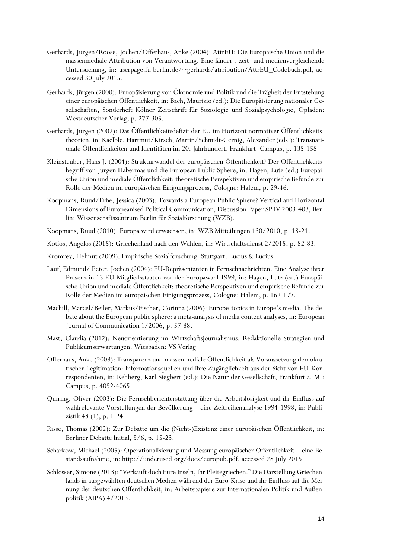- Gerhards, Jürgen/Roose, Jochen/Offerhaus, Anke (2004): AttrEU: Die Europäische Union und die massenmediale Attribution von Verantwortung. Eine länder-, zeit- und medienvergleichende Untersuchung, in: userpage.fu-berlin.de/~gerhards/atrribution/AttrEU\_Codebuch.pdf, accessed 30 July 2015.
- Gerhards, Jürgen (2000): Europäisierung von Ökonomie und Politik und die Trägheit der Entstehung einer europäischen Öffentlichkeit, in: Bach, Maurizio (ed.): Die Europäisierung nationaler Gesellschaften, Sonderheft Kölner Zeitschrift für Soziologie und Sozialpsychologie, Opladen: Westdeutscher Verlag, p. 277-305.
- Gerhards, Jürgen (2002): Das Öffentlichkeitsdefizit der EU im Horizont normativer Öffentlichkeitstheorien, in: Kaelble, Hartmut/Kirsch, Martin/Schmidt-Gernig, Alexander (eds.): Transnationale Öffentlichkeiten und Identitäten im 20. Jahrhundert. Frankfurt: Campus, p. 135-158.
- Kleinsteuber, Hans J. (2004): Strukturwandel der europäischen Öffentlichkeit? Der Öffentlichkeitsbegriff von Jürgen Habermas und die European Public Sphere, in: Hagen, Lutz (ed.) Europäische Union und mediale Öffentlichkeit: theoretische Perspektiven und empirische Befunde zur Rolle der Medien im europäischen Einigungsprozess, Cologne: Halem, p. 29-46.
- Koopmans, Ruud/Erbe, Jessica (2003): Towards a European Public Sphere? Vertical and Horizontal Dimensions of Europeanised Political Communication, Discussion Paper SP IV 2003-403, Berlin: Wissenschaftszentrum Berlin für Sozialforschung (WZB).
- Koopmans, Ruud (2010): Europa wird erwachsen, in: WZB Mitteilungen 130/2010, p. 18-21.
- Kotios, Angelos (2015): Griechenland nach den Wahlen, in: Wirtschaftsdienst 2/2015, p. 82-83.
- Kromrey, Helmut (2009): Empirische Sozialforschung. Stuttgart: Lucius & Lucius.
- Lauf, Edmund/ Peter, Jochen (2004): EU-Repräsentanten in Fernsehnachrichten. Eine Analyse ihrer Präsenz in 13 EU-Mitgliedsstaaten vor der Europawahl 1999, in: Hagen, Lutz (ed.) Europäische Union und mediale Öffentlichkeit: theoretische Perspektiven und empirische Befunde zur Rolle der Medien im europäischen Einigungsprozess, Cologne: Halem, p. 162-177.
- Machill, Marcel/Beiler, Markus/Fischer, Corinna (2006): Europe-topics in Europe's media. The debate about the European public sphere: a meta-analysis of media content analyses, in: European Journal of Communication 1/2006, p. 57-88.
- Mast, Claudia (2012): Neuorientierung im Wirtschaftsjournalismus. Redaktionelle Strategien und Publikumserwartungen. Wiesbaden: VS Verlag.
- Offerhaus, Anke (2008): Transparenz und massenmediale Öffentlichkeit als Voraussetzung demokratischer Legitimation: Informationsquellen und ihre Zugänglichkeit aus der Sicht von EU-Korrespondenten, in: Rehberg, Karl-Siegbert (ed.): Die Natur der Gesellschaft, Frankfurt a. M.: Campus, p. 4052-4065.
- Quiring, Oliver (2003): Die Fernsehberichterstattung über die Arbeitslosigkeit und ihr Einfluss auf wahlrelevante Vorstellungen der Bevölkerung – eine Zeitreihenanalyse 1994-1998, in: Publizistik 48 (1), p. 1-24.
- Risse, Thomas (2002): Zur Debatte um die (Nicht-)Existenz einer europäischen Öffentlichkeit, in: Berliner Debatte Initial, 5/6, p. 15-23.
- Scharkow, Michael (2005): Operationalisierung und Messung europäischer Öffentlichkeit eine Bestandsaufnahme, in: http://underused.org/docs/europub.pdf, accessed 28 July 2015.
- Schlosser, Simone (2013): "Verkauft doch Eure Inseln, Ihr Pleitegriechen." Die Darstellung Griechenlands in ausgewählten deutschen Medien während der Euro-Krise und ihr Einfluss auf die Meinung der deutschen Öffentlichkeit, in: Arbeitspapiere zur Internationalen Politik und Außenpolitik (AIPA) 4/2013.